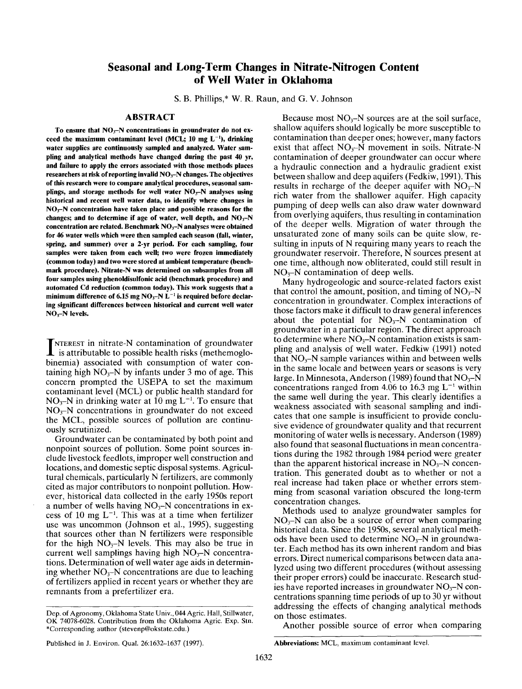# **Seasonal and Long-Term Changes in Nitrate-Nitrogen Content of Well Water in Oklahoma**

S. B. Phillips,\* W. R. Raun, and G. V. Johnson

## **ABSTRACT**

To ensure that NO<sub>3</sub>-N concentrations in groundwater do not exceed the maximum contaminant level  $(MCL; 10$  mg  $L^{-1}$ ), drinking **water supplies are continuously sampled and analyzed. Water sampling and analytical methods have changed during the past 40 yr, and failure to apply the errors associated with those methods places researchers at risk of reporting invalid NO3-N changes. The objectives of this research were to compare analytical procedures, seasonal samplings, and storage methods for well water NO~-N analyses using historical and recent well water data, to identify where changes in** NO~N **concentration have taken place and possible reasons for the changes; and to determine if age of water, well depth, and NO~-N concentration are related. Benchmark NO~-N analyses were obtained for 46 water wells which were then sampled each season (fail, winter, spring, and summer) over a 2-yr period. For each sampling, four samples were taken from each well; two were frozen immediately (common today) and two were stored at ambient temperature (benchmark procedure). Nitrate-N was determined on subsamples from** all **four samples using phenoldisulfonic acid (benchmark procedure) and automated Cd reduction (common today). This work suggests that** a minimum difference of 6.15 mg NO<sub>3</sub>-N L<sup>-1</sup> is required before declar**ing significant differences between historical and current well water** NO~-N **levels.**

**INTEREST** in nitrate-N contamination of groundwater is attributable to possible health risks (methemoglo-**NTEREST** in nitrate-N contamination of groundwater binemia) associated with consumption of water containing high  $NO_3-N$  by infants under 3 mo of age. This concern prompted the USEPA to set the maximum contaminant level (MCL) or public health standard for  $NO<sub>3</sub>-N$  in drinking water at 10 mg L<sup>-1</sup>. To ensure that  $NO<sub>3</sub>–N$  concentrations in groundwater do not exceed the MCL, possible sources of pollution are continuously scrutinized.

Groundwater can be contaminated by both point and nonpoint sources of pollution. Some point sources include livestock feedlots, improper well construction and locations, and domestic septic disposal systems. Agricultural chemicals, particularly N fertilizers, are commonly cited as major contributors to nonpoint pollution. However, historical data collected in the early 1950s report a number of wells having  $NO<sub>3</sub>-N$  concentrations in excess of 10 mg  $L^{-1}$ . This was at a time when fertilizer use was uncommon (Johnson et al., 1995), suggesting that sources other than N fertilizers were responsible for the high  $NO_3-N$  levels. This may also be true in current well samplings having high  $NO<sub>3</sub>-N$  concentrations. Determination of well water age aids in determining whether  $NO_3-N$  concentrations are due to leaching of fertilizers applied in recent years or whether they are remnants from a prefertilizer era.

Because most  $NO_3-N$  sources are at the soil surface, shallow aquifers should logically be more susceptible to contamination than deeper ones; however, many factors exist that affect  $NO<sub>3</sub>-N$  movement in soils. Nitrate-N contamination of deeper groundwater can occur where a hydraulic connection and a hydraulic gradient exist between shallow and deep aquifers (Fedkiw, 1991). This results in recharge of the deeper aquifer with  $NO<sub>3</sub>-N$ rich water from the shallower aquifer. High capacity pumping of deep wells can also draw water downward from overlying aquifers, thus resulting in contamination of the deeper wells. Migration of water through the unsaturated zone of many soils can be quite slow, resulting in inputs of N requiring many years to reach the groundwater reservoir. Therefore, N sources present at one time, although now obliterated, could still result in  $NO<sub>3</sub>–N$  contamination of deep wells.

Many hydrogeologic and source-related factors exist that control the amount, position, and timing of  $NO<sub>3</sub>-N$ concentration in groundwater. Complex interactions of those factors make it difficult to draw general inferences about the potential for  $NO<sub>3</sub>-N$  contamination of groundwater in a particular region. The direct approach to determine where  $NO<sub>3</sub>–N$  contamination exists is sampiing and analysis of well water. Fedkiw (1991) noted that  $NO<sub>3</sub>-N$  sample variances within and between wells in the same locale and between years or seasons is very large. In Minnesota, Anderson (1989) found that  $NO<sub>3</sub>-N$ concentrations ranged from 4.06 to 16.3 mg  $L^{-1}$  within the same well during the year. This clearly identifies a weakness associated with seasonal sampling and indicates that one sample is insufficient to provide conclusive evidence of groundwater quality and that recurrent monitoring of water wells is necessary. Anderson (1989) also found that seasonal fluctuations in mean concentrations during the 1982 through 1984 period were greater than the apparent historical increase in  $NO<sub>3</sub>-N$  concentration. This generated doubt as to whether or not a real increase had taken place or whether errors stemming from seasonal variation obscured the long-term concentration changes.

Methods used to analyze groundwater samples for  $NO<sub>3</sub>-N$  can also be a source of error when comparing historical data. Since the 1950s, several analytical methods have been used to determine  $NO<sub>3</sub>–N$  in groundwater. Each method has its own inherent random and bias errors. Direct numerical comparisons between data analyzed using two different procedures (without assessing their proper errors) could be inaccurate. Research studies have reported increases in groundwater  $NO<sub>3</sub>–N$  concentrations spanning time periods of up to 30 yr without addressing the effects of changing analytical methods on those estimates.

Another possible source of error when comparing

Dep. of Agronomy, Oklahoma State Univ., 044 Agric. Hall, Stillwater, OK 74078-6028. Contribution from the Oklahoma Agric. Exp. Stn. \*Corresponding author (stevenp@okstate.edu.)

Published in J. Environ. Qual. 26:1632-1637 (1997).

**Abbreviations:** MCL, maximum contaminant level.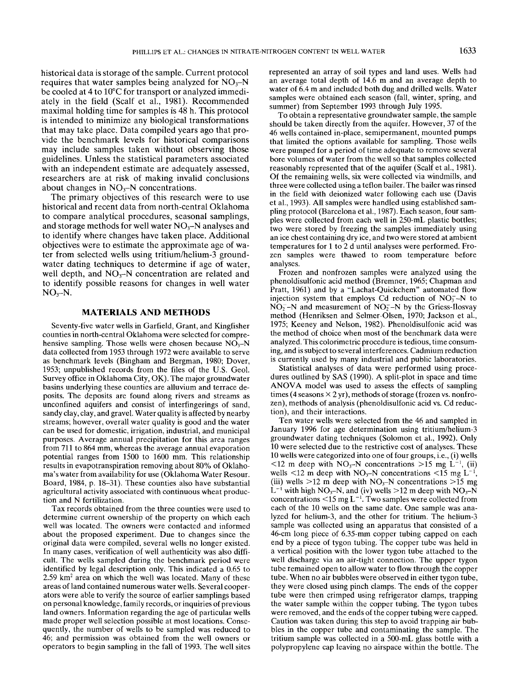historical data is storage of the sample. Current protocol requires that water samples being analyzed for  $NO<sub>3</sub>-N$ be cooled at 4 to 10°C for transport or analyzed immediately in the field (Scalf et al., 1981). Recommended maximal holding time for samples is 48 h. This protocol is intended to minimize any biological transformations that may take place. Data compiled years ago that provide the benchmark levels for historical comparisons may include samples taken without observing those guidelines. Unless the statistical parameters associated with an independent estimate are adequately assessed, researchers are at risk of making invalid conclusions about changes in  $NO<sub>3</sub>-N$  concentrations.

The primary objectives of this research were to use historical and recent data from north-central Oklahoma to compare analytical procedures, seasonal samplings, and storage methods for well water  $NO<sub>3</sub>-N$  analyses and to identify where changes have taken place. Additional objectives were to estimate the approximate age of water from selected wells using tritium/helium-3 groundwater dating techniques to determine if age of water, well depth, and  $NO<sub>3</sub>–N$  concentration are related and to identify possible reasons for changes in well water  $NO<sub>3</sub>-N$ .

## **MATERIALS AND METHODS**

Seventy-five water wells in Garfield, Grant, and Kingfisher counties in north-central Oklahoma were selected for comprehensive sampling. Those wells were chosen because  $NO<sub>3</sub>-N$ data collected from 1953 through 1972 were available to serve as benchmark levels (Bingham and Bergman, 1980; Dover, 1953; unpublished records from the files of the U.S. Geol. Survey office in Oklahoma City, OK). The major groundwater basins underlying these counties are alluvium and terrace deposits. The deposits are found along rivers and streams as unconfined aquifers and consist of interfingerings of sand, sandy clay, clay, and gravel. Water quality is affected by nearby streams; however, overall water quality is good and the water can be used for domestic, irrigation, industrial, and municipal purposes. Average annual precipitation for this area ranges from 711 to 864 mm, whereas the average annual evaporation potential ranges from 1500 to 1600 mm. This relationship results in evapotranspiration removing about 80% of Oklahoma's water from availability for use (Oklahoma Water Resour. Board, 1984, p. 18-31). These counties also have substantial agricultural activity associated with continuous wheat production and N fertilization.

Tax records obtained from the three counties were used to determine current ownership of the property on which each well was located. The owners were contacted and informed about the proposed experiment. Due to changes since the original data were compiled, several wells no longer existed. In many cases, verification of well authenticity was also difficult. The wells sampled during the benchmark period were identified by legal description only. This indicated a 0.65 to  $2.59 \text{ km}^2$  area on which the well was located. Many of these areas of land contained numerous water wells. Several cooperators were able to verify the source of earlier samplings based on personal knowledge, family records, or inquiries of previous land owners. Information regarding the age of particular wells made proper well selection possible at most locations. Consequently, the number of wells to be sampled was reduced to 46; and permission was obtained from the well owners or operators to begin sampling in the fall of 1993. The well sites represented an array of soil types and land uses. Wells had an average total depth of 14.6 m and an average depth to water of 6.4 m and included both dug and drilled wells. Water samples were obtained each season (fall, winter, spring, and summer) from September 1993 through July 1995.

To obtain a representative groundwater sample, the sample should be taken directly from the aquifer. However, 37 of the 46 wells contained in-place, semipermanent, mounted pumps that limited the options available for sampling. Those wells were pumped for a period of time adequate to remove several bore volumes of water from the well so that samples collected reasonably represented that of the aquifer (Scalf et al., 1981). Of the remaining wells, six were collected via windmills, and three were collected using a teflon bailer. The bailer was rinsed in the field with deionized water following each use (Davis et al., 1993). All samples were handled using established sampling protocol (Barcelona et al., 1987). Each season, four samples were collected from each well in 250-mL plastic bottles; two were stored by freezing the samples immediately using an ice chest containing dry ice, and two were stored at ambient temperatures for 1 to 2 d until analyses were performed. Frozen samples were thawed to room temperature before analyses.

Frozen and nonfrozen samples were analyzed using the phenoldisulfonic acid method (Bremner, 1965; Chapman and Pratt, 1961) and by a "Lachat-Quickchem" automated flow injection system that employs Cd reduction of  $NO<sub>3</sub> - N$  to  $NO<sub>2</sub><sup>-</sup>N$  and measurement of  $NO<sub>2</sub><sup>-</sup>N$  by the Griess-Ilosvay method (Henriksen and Selmer-Olsen, 1970; Jackson et al., 1975; Keeney and Nelson, 1982). Phenoldisulfonic acid was the method of choice when most of the benchmark data were analyzed. This colorimetric procedure is tedious, time consuming, and is subject to several interferences. Cadmium reduction is currently used by many industrial and public laboratories.

Statistical analyses of data were performed using procedures outlined by SAS (1990). A split-plot in space and time ANOVA model was used to assess the effects of sampling times (4 seasons  $\times$  2 yr), methods of storage (frozen vs. nonfrozen), methods of analysis (phenoldisulfonic acid vs. Cd reduction), and their interactions.

Ten water wells were selected from the 46 and sampled in January 1996 for age determination using tritium/helium-3 groundwater dating techniques (Solomon et al., 1992). Only 10 were selected due to the restrictive cost of analyses. These 10 wells were categorized into one of four groups, i.e., (i) wells  $\le$ 12 m deep with NO<sub>3</sub>-N concentrations  $>$ 15 mg L<sup>-1</sup>, (ii) wells  $\leq$ 12 m deep with NO<sub>3</sub>-N concentrations  $\leq$ 15 mg L<sup>-1</sup>, (iii) wells  $>12$  m deep with NO<sub>3</sub>-N concentrations  $>15$  mg  $L^{-1}$  with high NO<sub>3</sub>-N, and (iv) wells >12 m deep with NO<sub>3</sub>-N concentrations  $\leq 15$  mg L<sup>-1</sup>. Two samples were collected from each of the 10 wells on the same date. One sample was analyzed for helium-3, and the other for tritium. The helium-3 sample was collected using an apparatus that consisted of a 46-cm long piece of 6.35-mm copper tubing capped on each end by a piece of tygon tubing. The copper tube was held in a vertical position with the lower tygon tube attached to the well discharge via an air-tight connection. The upper tygon tube remained open to allow water to flow through the copper tube. When no air bubbles were observed in either tygon tube, they were closed using pinch clamps. The ends of the copper tube were then crimped using refrigerator clamps, trapping the water sample within the copper tubing. The tygon tubes were removed, and the ends of the copper tubing were capped. Caution was taken during this step to avoid trapping air bubbles in the copper tube and contaminating the sample. The tritium sample was collected in a 500-mL glass bottle with a polypropylene cap leaving no airspace within the bottle. The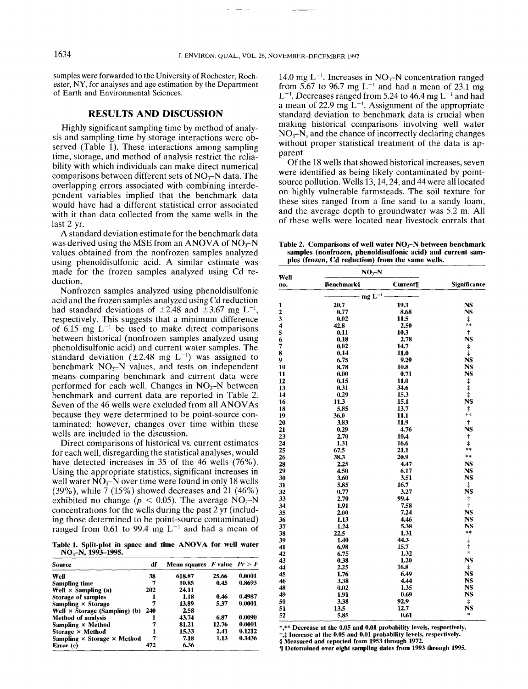samples were forwarded to the University of Rochester, Rochester, NY, for analyses and age estimation by the Department of Earth and Environmental Sciences.

## **RESULTS AND DISCUSSION**

Highly significant sampling time by method of analysis and sampling time by storage interactions were observed (Table 1). These interactions among sampling time, storage, and method of analysis restrict the reliability with which individuals can make direct numerical comparisons between different sets of  $NO<sub>3</sub>-N$  data. The overlapping errors associated with combining interdependent variables implied that the benchmark data would have had a different statistical error associated with it than data collected from the same wells in the last 2 yr.

A standard deviation estimate for the benchmark data was derived using the MSE from an ANOVA of  $NO<sub>3</sub>-N$ values obtained from the nonfrozen samples analyzed using phenoldisulfonic acid. A similar estimate was made for the frozen samples analyzed using Cd reduction.

Nonfrozen samples analyzed using phenoldisulfonic acid and the frozen samples analyzed using Cd reduction had standard deviations of  $\pm 2.48$  and  $\pm 3.67$  mg L<sup>-1</sup>, respectively. This suggests that a minimum difference of 6.15 mg  $L^{-1}$  be used to make direct comparisons between historical (nonfrozen samples analyzed using phenoldisulfonic acid) and current water samples. The standard deviation ( $\pm 2.48$  mg L<sup>-1</sup>) was assigned to benchmark  $NO<sub>3</sub>-N$  values, and tests on independent means comparing benchmark and current data were performed for each well. Changes in  $NO<sub>3</sub>-N$  between benchmark and current data are reported in Table 2. Seven of the 46 wells were excluded from all ANOVAs because they were determined to be point-source contaminated; however, changes over time within these wells are included in the discussion.

Direct comparisons of historical vs. current estimates for each well, disregarding the statistical analyses, would have detected increases in 35 of the 46 wells (76%). Using the appropriate statistics, significant increases in well water  $NO_3-N$  over time were found in only 18 wells (39%), while 7 (15%) showed decreases and 21 (46%) exhibited no change ( $p < 0.05$ ). The average NO<sub>3</sub>-N concentrations for the wells during the past 2 yr (including those determined to be point-source contaminated) ranged from 0.61 to 99.4 mg  $L^{-1}$  and had a mean of

**Table 1. Split-plot in space and time ANOVA for well water**  $NO<sub>3</sub>-N<sub>1</sub>$ , 1993–1995.

| Source                                    | df  | Mean squares F value $Pr > F$ |       |        |
|-------------------------------------------|-----|-------------------------------|-------|--------|
| Well                                      | 38  | 618.87                        | 25.66 | 0.0001 |
| Sampling time                             | 7   | 10.85                         | 0.45  | 0.8693 |
| Well $\times$ Sampling (a)                | 202 | 24.11                         |       |        |
| <b>Storage of samples</b>                 |     | 1.18                          | 0.46  | 0.4987 |
| Sampling $\times$ Storage                 |     | 13.89                         | 5.37  | 0.0001 |
| Well $\times$ Storage (Sampling) (b)      | 240 | 2.58                          |       |        |
| <b>Method of analysis</b>                 |     | 43.74                         | 6.87  | 0.0090 |
| Sampling $\times$ Method                  | 7   | 81.21                         | 12.76 | 0.0001 |
| Storage $\times$ Method                   |     | 15.33                         | 2.41  | 0.1212 |
| Sampling $\times$ Storage $\times$ Method | 7   | 7.18                          | 1.13  | 0.3436 |
| Error (c)                                 | 472 | 6.36                          |       |        |

14.0 mg  $L^{-1}$ . Increases in NO<sub>3</sub>-N concentration ranged from 5.67 to 96.7 mg  $L^{-1}$  and had a mean of 23.1 mg  $L^{-1}$ . Decreases ranged from 5.24 to 46.4 mg  $L^{-1}$  and had a mean of 22.9 mg  $L^{-1}$ . Assignment of the appropriate standard deviation to benchmark data is crucial when making historical comparisons involving well water  $NO<sub>3</sub>$ -N, and the chance of incorrectly declaring changes without proper statistical treatment of the data is apparent.

Of the 18 wells that showed historical increases, seven were identified as being likely contaminated by pointsource pollution. Wells 13, 14, 24, and 44 were all located on highly vulnerable farmsteads. The soil texture for these sites ranged from a fine sand to a sandy loam, and the average depth to groundwater was 5.2 m. All of these wells were located near livestock corrals that

**Table 2. Comparisons of well water NO3-N between benchmark samples (nonfrozcn, phenoldisulfonic acid) and current samples (frozen, Cd reduction) from the same** wells.

| Well                    | $NO3-N$     |                |                          |  |
|-------------------------|-------------|----------------|--------------------------|--|
| no.                     | Benchmark§  | <b>Current</b> | Significance             |  |
|                         | $mg L^{-1}$ |                |                          |  |
| 1                       | 20.7        | 19.3           | <b>NS</b>                |  |
| $\overline{\mathbf{c}}$ | 0.77        | 8.68           | NS                       |  |
| $\bar{3}$               | 0.02        | 11.5           | $\ddagger$               |  |
| $\overline{\mathbf{4}}$ | 42.8        | 2.50           | $**$                     |  |
| 5                       | 0.11        | 10.3           | $\ddagger$               |  |
| 6                       | 0.18        | 2.78           | <b>NS</b>                |  |
| 7                       | 0.02        | 14.7           |                          |  |
| 8                       | 0.14        | 11.0           | $\frac{+}{+}$            |  |
| 9                       | 6.75        | 9.20           | <b>NS</b>                |  |
| 10                      | 8.78        | 10.8           | <b>NS</b>                |  |
| 11                      | 0.00        | 0.71           | <b>NS</b>                |  |
| 12                      | 0.15        | 11.0           |                          |  |
| 13                      | 0.31        | 34.6           | $\ddot{\ddag}$           |  |
| 14                      | 0.29        | 15.3           | į                        |  |
| 16                      | 11.3        | 15.1           | <b>NS</b>                |  |
| 18                      | 5,85        | 13.7           | $\ddagger$               |  |
| 19                      | 36.0        | 11.1           | **                       |  |
| 20                      | 3.83        | 11.9           | $\dagger$                |  |
| 21                      | 0.29        | 4.76           | <b>NS</b>                |  |
| 23                      | 2.70        | 10.4           | $\dagger$                |  |
| 24                      | 1.31        | 16.6           | $\ddagger$               |  |
| 25                      | 67.5        | 21.1           | 冰冰                       |  |
| 26                      | 38.3        | 20.9           | $**$                     |  |
| 28                      | 2.25        | 4.47           | <b>NS</b>                |  |
| 29                      | 4.50        | 6.17           | NS                       |  |
| 30                      | 3.60        | 3.51           | NS                       |  |
| 31                      | 5.85        | 16.7           | $\ddagger$               |  |
| 32                      | 0.77        | 3.27           | <b>NS</b>                |  |
| 33                      | 2.70        | 99.4           | $\ddagger$               |  |
| 34                      |             | 7.58           | $\ddagger$               |  |
|                         | 1.91        | 7.24           | <b>NS</b>                |  |
| 35                      | 2.00        |                | NS                       |  |
| 36                      | 1.13        | 4.46<br>5.38   | NS                       |  |
| 37                      | 1.24        |                | $**$                     |  |
| 38                      | 22.5        | 1.31           |                          |  |
| 39                      | 1.40        | 44.3           | $\ddagger$<br>Ť          |  |
| 41                      | 6.98        | 15.7           | $\mathbf{r}$             |  |
| 42                      | 6.75        | 1.32           | <b>NS</b>                |  |
| 43                      | 0.38        | 1.20           |                          |  |
| 44                      | 2.25        | 16.8           | ŧ                        |  |
| 45                      | 1.76        | 6.49           | <b>NS</b>                |  |
| 46                      | 3.38        | 4.44           | NS                       |  |
| 48                      | 0.02        | 1.35           | NS                       |  |
| 49                      | 1.91        | 0.69           | NS                       |  |
| 50                      | 3.38        | 92.9           | $\ddagger$               |  |
| 51                      | 13.5        | 12.7           | NS<br>$\boldsymbol{\mu}$ |  |
| 52                      | 5.85        | 0.61           |                          |  |

\*,\*\* **Decrease at the 0.05 and 0.01 probability levels, respectively.**

 $\dagger, \ddagger$  Increase at the 0.05 and 0.01 probability levels, respectively.

**Measured and reported from 1953 through** 1972.

**J** Determined over eight sampling dates from 1993 through 1995.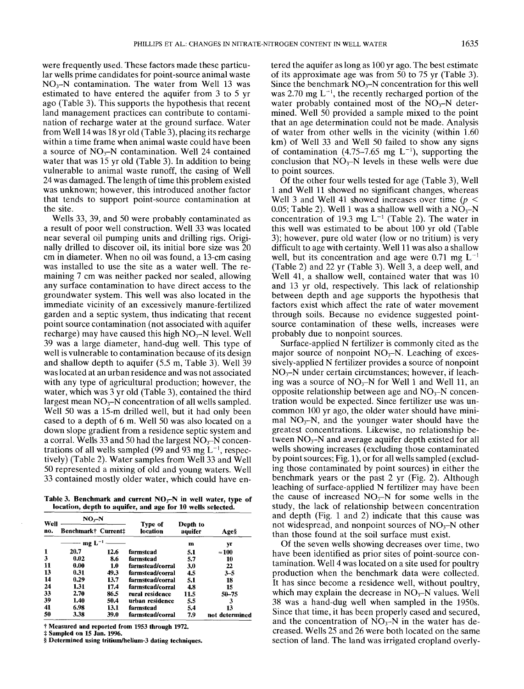were frequently used. These factors made these particular wells prime candidates for point-source animal waste  $NO<sub>3</sub>-N$  contamination. The water from Well 13 was estimated to have entered the aquifer from 3 to 5 yr ago (Table 3). This supports the hypothesis that recent land management practices can contribute to contamination of recharge water at the ground surface. Water from Well 14 was 18 yr old (Table 3), placing its recharge within a time frame when animal waste could have been a source of  $NO<sub>3</sub>-N$  contamination. Well 24 contained water that was 15 yr old (Table 3). In addition to being vulnerable to animal waste runoff, the casing of Well 24 was damaged. The length of time this problem existed was unknown; however, this introduced another factor that tends to support point-source contamination at the site.

Wells 33, 39, and 50 were probably contaminated as a result of poor well construction. Well 33 was located near several oil pumping units and drilling rigs. Originally drilled to discover oil, its initial bore size was 20 cm in diameter. When no oil was found, a 13-cm casing was installed to use the site as a water well. The remaining 7 cm was neither packed nor sealed, allowing any surface contamination to have direct access to the groundwater system. This well was also located in the immediate vicinity of an excessively manure-fertilized garden and a septic system, thus indicating that recent point source contamination (not associated with aquifer recharge) may have caused this high  $NO<sub>3</sub>-N$  level. Well 39 was a large diameter, hand-dug well. This type of well is vulnerable to contamination because of its design and shallow depth to aquifer (5.5 m, Table 3). Well was located at an urban residence and was not associated with any type of agricultural production; however, the water, which was 3 yr old (Table 3), contained the third largest mean  $NO_3-N$  concentration of all wells sampled. Well 50 was a 15-m drilled well, but it had only been cased to a depth of 6 m. Well 50 was also located on a down slope gradient from a residence septic system and a corral. Wells 33 and 50 had the largest  $NO<sub>3</sub>–N$  concentrations of all wells sampled (99 and 93 mg  $L^{-1}$ , respectively) (Table 2). Water samples from Well 33 and Well 50 represented a mixing of old and young waters. Well 33 contained mostly older water, which could have en-

Table 3. Benchmark and current NO<sub>x</sub>-N in well water, type of **location, depth to aquifer, and age for 10 wells selected.**

| Well<br>no. | $NO3-N$             |      |                     |                     |                |  |
|-------------|---------------------|------|---------------------|---------------------|----------------|--|
|             | Benchmark† Current‡ |      | Type of<br>location | Depth to<br>aquifer | Age§           |  |
|             | mg $L^{-1}$         |      |                     | m                   | уr             |  |
| 1           | 20.7                | 12.6 | farmstead           | 5.1                 | $\approx 100$  |  |
| 3           | 0.02                | 8.6  | farmstead           | 5.7                 | 10             |  |
| 11          | 0.00                | 1.0  | farmstead/corral    | 3.0                 | 22             |  |
| 13          | 0.31                | 49.3 | farmstead/corral    | 4.5                 | $3 - 5$        |  |
| 14          | 0.29                | 13.7 | farmstead/corral    | 5.1                 | 18             |  |
| 24          | 1.31                | 17.4 | farmstead/corral    | 4.8                 | 15             |  |
| 33          | 2.70                | 86.5 | rural residence     | 11.5                | $50 - 75$      |  |
| 39          | 1.40                | 50.4 | urban residence     | 5.5                 | 3              |  |
| 41          | 6.98                | 13.1 | farmstead           | 5.4                 | 13             |  |
| 50          | 3.38                | 39.0 | farmstead/corral    | 7.9                 | not determined |  |

**Measured and reported from 1953 through** 1972.

**Sampled on** 15 Jan. 1996.

**Determined using tritium/helium-3 dating techniques.**

tered the aquifer as long as 100 yr ago. The best estimate of its approximate age was from 50 to 75 yr (Table 3). Since the benchmark  $NO_3-N$  concentration for this well was 2.70 mg  $L^{-1}$ , the recently recharged portion of the water probably contained most of the  $NO<sub>3</sub>-N$  determined. Well 50 provided a sample mixed to the point that an age determination could not be made. Analysis of water from other wells in the vicinity (within 1.60  $km$ ) of Well 33 and Well 50 failed to show any signs of contamination (4.75–7.65 mg  $L^{-1}$ ), supporting the conclusion that  $NO<sub>3</sub>-N$  levels in these wells were due to point sources.

Of the other four wells tested for age (Table 3), Well 1 and Well 11 showed no significant changes, whereas Well 3 and Well 41 showed increases over time ( $p <$ 0.05; Table 2). Well 1 was a shallow well with a  $NO<sub>3</sub>-N$ concentration of 19.3 mg  $L^{-1}$  (Table 2). The water in this well was estimated to be about 100 yr old (Table 3); however, pure old water (low or no tritium) is very difficult to age with certainty. Well 11 was also a shallow well, but its concentration and age were 0.71 mg  $L^{-1}$ (Table 2) and 22 yr (Table 3). Well 3, a deep well, Well 41, a shallow well, contained water that was 10 and 13 yr old, respectively. This lack of relationship between depth and age supports the hypothesis that factors exist which affect the rate of water movement through soils. Because no evidence suggested pointsource contamination of these wells, increases were probably due to nonpoint sources.

Surface-applied N fertilizer is commonly cited as the major source of nonpoint  $NO<sub>3</sub>-N$ . Leaching of excessively-applied N fertilizer provides a source of nonpoint  $NO<sub>3</sub>-N$  under certain circumstances; however, if leaching was a source of  $NO_3-N$  for Well 1 and Well 11, an opposite relationship between age and  $NO<sub>3</sub>-N$  concentration would be expected. Since fertilizer use was uncommon 100 yr ago, the older water should have minimal  $NO_3-N$ , and the younger water should have the greatest concentrations. Likewise, no relationship between  $NO<sub>3</sub>–N$  and average aquifer depth existed for all wells showing increases (excluding those contaminated by point sources; Fig. 1), or for all wells sampled (excluding those contaminated by point sources) in either the benchmark years or the past 2 yr (Fig. 2). Although leaching of surface-applied N fertilizer may have been the cause of increased  $NO_3-N$  for some wells in the study, the lack of relationship between concentration and depth (Fig. 1 and 2) indicate that this cause was not widespread, and nonpoint sources of  $NO<sub>3</sub>-N$  other than those found at the soil surface must exist.

Of the seven wells showing decreases over time, two have been identified as prior sites of point-source contamination. Well 4 was located on a site used for poultry production when the benchmark data were collected. It has since become a residence well, without poultry, which may explain the decrease in  $NO<sub>3</sub>-N$  values. Well 38 was a hand-dug well when sampled in the 1950s. Since that time, it has been properly cased and secured, and the concentration of  $\overline{NO_3-N}$  in the water has decreased. Wells 25 and 26 were both located on the same section of land. The land was irrigated cropland overly-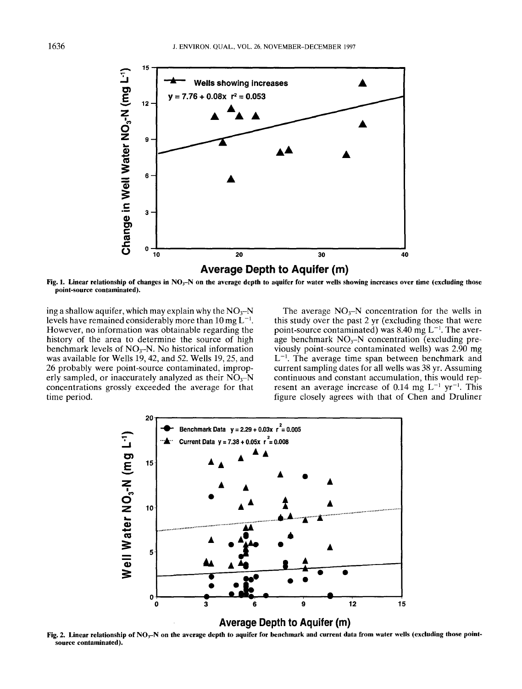

Fig. 1. Linear relationship of changes in NO<sub>3</sub>-N on the average depth to aquifer for water wells showing increases over time (excluding those **point-source contaminated).**

ing a shallow aquifer, which may explain why the  $NO<sub>3</sub>-N$ levels have remained considerably more than 10 mg  $L^{-1}$ . However, no information was obtainable regarding the history of the area to determine the source of high benchmark levels of  $NO<sub>3</sub>-N$ . No historical information was available for Wells 19, 42, and 52. Wells 19, 25, and 26 probably were point-source contaminated, improperly sampled, or inaccurately analyzed as their  $NO<sub>3</sub>–N$ concentrations grossly exceeded the average for that time period.

The average  $NO<sub>3</sub>-N$  concentration for the wells in this study over the past 2 yr (excluding those that were point-source contaminated) was 8.40 mg  $L^{-1}$ . The average benchmark  $NO<sub>3</sub>-N$  concentration (excluding previously point-source contaminated wells) was 2.90 mg  $L^{-1}$ . The average time span between benchmark and current sampling dates for all wells was 38 yr. Assuming continuous and constant accumulation, this would represent an average increase of 0.14 mg  $L^{-1}$  yr<sup>-1</sup>. This figure closely agrees with that of Chen and Druliner



Fig. 2. **Linear relationship of NO~-N on the average depth to aquifer for benchmark and current data from water wells (excluding those pointsource contaminated).**